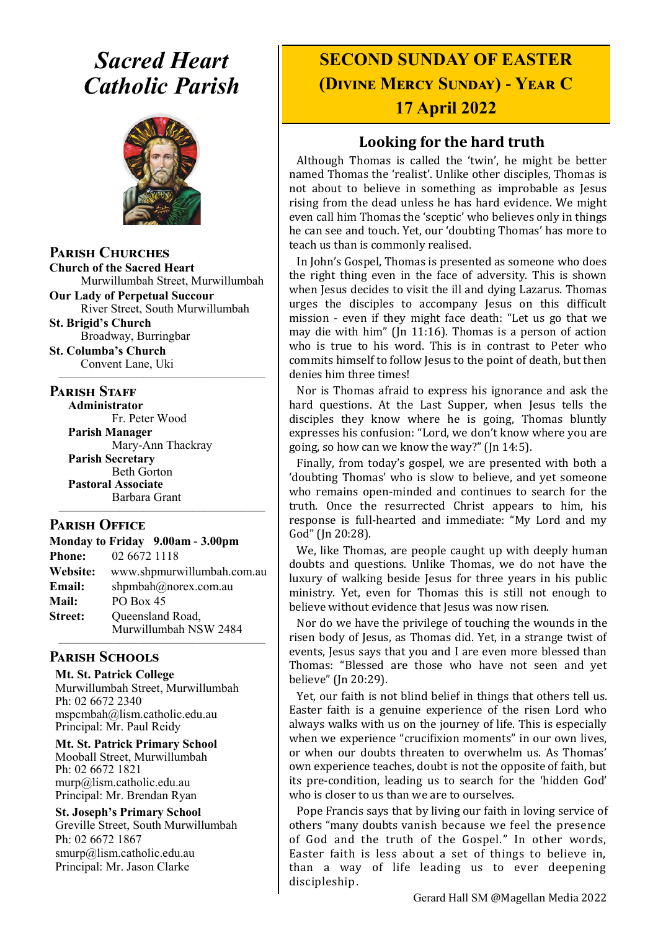# *Sacred Heart Catholic Parish*



**Parish Churches**

**Church of the Sacred Heart** Murwillumbah Street, Murwillumbah

**Our Lady of Perpetual Succour** River Street, South Murwillumbah

**St. Brigid's Church** Broadway, Burringbar

**St. Columba's Church** Convent Lane, Uki —————————————————

#### **PARISH STAFF**

**Administrator** Fr. Peter Wood **Parish Manager** Mary-Ann Thackray **Parish Secretary** Beth Gorton **Pastoral Associate** Barbara Grant —————————————————

#### **Parish Office**

| Monday to Friday 9.00am - 3.00pm |                            |
|----------------------------------|----------------------------|
| <b>Phone:</b>                    | 02 6672 1118               |
| <b>Website:</b>                  | www.shpmurwillumbah.com.au |
| Email:                           | shpmbah@norex.com.au       |
| <b>Mail:</b>                     | PO Box 45                  |
| <b>Street:</b>                   | Queensland Road,           |
|                                  | Murwillumbah NSW 2484      |

#### ————————————————— **Parish Schools**

**Mt. St. Patrick College** Murwillumbah Street, Murwillumbah Ph: 02 6672 2340 mspcmbah@lism.catholic.edu.au Principal: Mr. Paul Reidy

**Mt. St. Patrick Primary School** Mooball Street, Murwillumbah Ph: 02 6672 1821 murp@lism.catholic.edu.au Principal: Mr. Brendan Ryan

**St. Joseph's Primary School** Greville Street, South Murwillumbah Ph: 02 6672 1867 smurp@lism.catholic.edu.au Principal: Mr. Jason Clarke

# **SECOND SUNDAY OF EASTER (Divine Mercy Sunday) - Year C 17 April 2022**

# **Looking for the hard truth**

Although Thomas is called the 'twin', he might be better named Thomas the 'realist'. Unlike other disciples, Thomas is not about to believe in something as improbable as Jesus rising from the dead unless he has hard evidence. We might even call him Thomas the 'sceptic' who believes only in things he can see and touch. Yet, our 'doubting Thomas' has more to teach us than is commonly realised.

In John's Gospel, Thomas is presented as someone who does the right thing even in the face of adversity. This is shown when Jesus decides to visit the ill and dying Lazarus. Thomas urges the disciples to accompany Jesus on this difficult mission - even if they might face death: "Let us go that we may die with him" (Jn 11:16). Thomas is a person of action who is true to his word. This is in contrast to Peter who commits himself to follow Jesus to the point of death, but then denies him three times!

Nor is Thomas afraid to express his ignorance and ask the hard questions. At the Last Supper, when Jesus tells the disciples they know where he is going, Thomas bluntly expresses his confusion: "Lord, we don't know where you are going, so how can we know the way?" (Jn 14:5).

Finally, from today's gospel, we are presented with both a 'doubting Thomas' who is slow to believe, and yet someone who remains open-minded and continues to search for the truth. Once the resurrected Christ appears to him, his response is full-hearted and immediate: "My Lord and my God" (Jn 20:28).

We, like Thomas, are people caught up with deeply human doubts and questions. Unlike Thomas, we do not have the luxury of walking beside Jesus for three years in his public ministry. Yet, even for Thomas this is still not enough to believe without evidence that Jesus was now risen.

Nor do we have the privilege of touching the wounds in the risen body of Jesus, as Thomas did. Yet, in a strange twist of events. Jesus says that you and I are even more blessed than Thomas: "Blessed are those who have not seen and yet believe" (Jn 20:29).

Yet, our faith is not blind belief in things that others tell us. Easter faith is a genuine experience of the risen Lord who always walks with us on the journey of life. This is especially when we experience "crucifixion moments" in our own lives, or when our doubts threaten to overwhelm us. As Thomas' own experience teaches, doubt is not the opposite of faith, but its pre-condition, leading us to search for the 'hidden God' who is closer to us than we are to ourselves.

Pope Francis says that by living our faith in loving service of others "many doubts vanish because we feel the presence of God and the truth of the Gospel." In other words, Easter faith is less about a set of things to believe in, than a way of life leading us to ever deepening discipleship.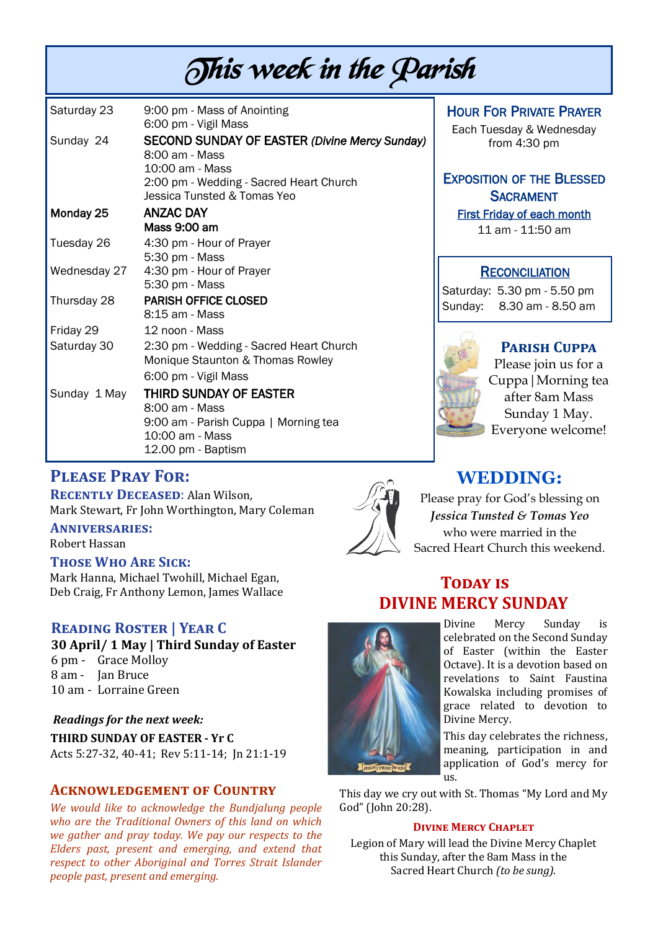# This week in the Parish

| Saturday 23  | 9:00 pm - Mass of Anointing<br>6:00 pm - Vigil Mass                                                                                                                 |
|--------------|---------------------------------------------------------------------------------------------------------------------------------------------------------------------|
| Sunday 24    | <b>SECOND SUNDAY OF EASTER (Divine Mercy Sunday)</b><br>8:00 am - Mass<br>10:00 am - Mass<br>2:00 pm - Wedding - Sacred Heart Church<br>Jessica Tunsted & Tomas Yeo |
| Monday 25    | ANZAC DAY                                                                                                                                                           |
| Tuesday 26   | Mass 9:00 am<br>4:30 pm - Hour of Prayer<br>5:30 pm - Mass                                                                                                          |
| Wednesday 27 | 4:30 pm - Hour of Prayer<br>5:30 pm - Mass                                                                                                                          |
| Thursday 28  | <b>PARISH OFFICE CLOSED</b><br>8:15 am - Mass                                                                                                                       |
| Friday 29    | 12 noon - Mass                                                                                                                                                      |
| Saturday 30  | 2:30 pm - Wedding - Sacred Heart Church<br>Monique Staunton & Thomas Rowley                                                                                         |
|              | 6:00 pm - Vigil Mass                                                                                                                                                |
| Sunday 1 May | THIRD SUNDAY OF EASTER<br>8:00 am - Mass                                                                                                                            |
|              | 9:00 am - Parish Cuppa   Morning tea<br>$10:00$ am - Mass<br>12.00 pm - Baptism                                                                                     |

# **Please Pray For:**

**Recently Deceased**: Alan Wilson, Mark Stewart, Fr John Worthington, Mary Coleman

#### **Anniversaries:**

Robert Hassan

#### **Those Who Are Sick:**

Mark Hanna, Michael Twohill, Michael Egan, Deb Craig, Fr Anthony Lemon, James Wallace

# **Reading Roster | Year C**

**30 April/ 1 May | Third Sunday of Easter** 

- 6 pm Grace Molloy
- 8 am Jan Bruce
- 10 am Lorraine Green

#### *Readings for the next week:*

**THIRD SUNDAY OF EASTER - Yr C** Acts 5:27-32, 40-41; Rev 5:11-14; Jn 21:1-19

### **Acknowledgement of Country**

*We would like to acknowledge the Bundjalung people who are the Traditional Owners of this land on which we gather and pray today. We pay our respects to the Elders past, present and emerging, and extend that respect to other Aboriginal and Torres Strait Islander people past, present and emerging.* 



## HOUR FOR PRIVATE PRAYER

Each Tuesday & Wednesday from 4:30 pm

# EXPOSITION OF THE BLESSED **SACRAMENT**

First Friday of each month

11 am - 11:50 am

#### **RECONCILIATION**

Saturday: 5.30 pm - 5.50 pm Sunday: 8.30 am - 8.50 am

# **Parish Cuppa**

Please join us for a Cuppa|Morning tea after 8am Mass Sunday 1 May. Everyone welcome!

# **WEDDING:**

Please pray for God's blessing on *Jessica Tunsted & Tomas Yeo* who were married in the Sacred Heart Church this weekend.

# **TODAY IS DIVINE MERCY SUNDAY**



Divine Mercy Sunday is celebrated on the Second Sunday of Easter (within the Easter Octave). It is a devotion based on revelations to Saint Faustina Kowalska including promises of grace related to devotion to Divine Mercy.

This day celebrates the richness, meaning, participation in and application of God's mercy for us.

This day we cry out with St. Thomas "My Lord and My God" (John 20:28).

#### **Divine Mercy Chaplet**

Legion of Mary will lead the Divine Mercy Chaplet this Sunday, after the 8am Mass in the Sacred Heart Church *(to be sung).*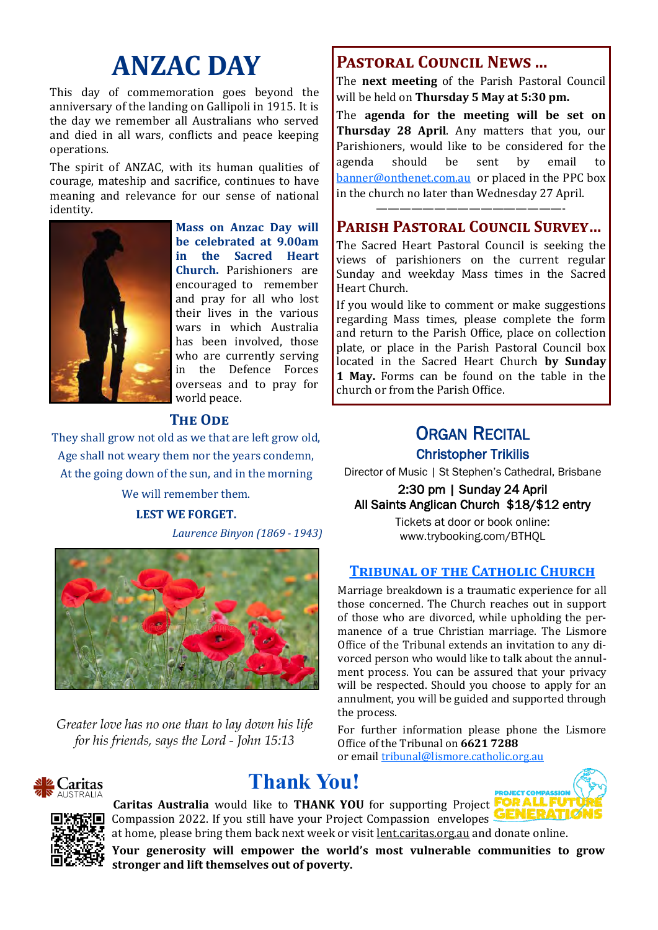# **ANZAC DAY**

This day of commemoration goes beyond the anniversary of the landing on Gallipoli in 1915. It is the day we remember all Australians who served and died in all wars, conflicts and peace keeping operations.

The spirit of ANZAC, with its human qualities of courage, mateship and sacrifice, continues to have meaning and relevance for our sense of national identity.



**Mass on Anzac Day will be celebrated at 9.00am in the Sacred Heart Church.** Parishioners are encouraged to remember and pray for all who lost their lives in the various wars in which Australia has been involved, those who are currently serving in the Defence Forces overseas and to pray for world peace.

# **The Ode**

They shall grow not old as we that are left grow old, Age shall not weary them nor the years condemn, At the going down of the sun, and in the morning

We will remember them.

#### **LEST WE FORGET.**

*Laurence Binyon (1869 - 1943)*



*Greater love has no one than to lay down his life for his friends, says the Lord - John 15:13*



# **Thank You!**





#### **Caritas Australia** would like to **THANK YOU** for supporting Project Compassion 2022. If you still have your Project Compassion envelopes at home, please bring them back next week or visit lent.caritas.org.au and donate online.

**Your generosity will empower the world's most vulnerable communities to grow stronger and lift themselves out of poverty.**

# **Pastoral Council News ...**

The **next meeting** of the Parish Pastoral Council will be held on **Thursday 5 May at 5:30 pm.**

The **agenda for the meeting will be set on Thursday 28 April**. Any matters that you, our Parishioners, would like to be considered for the agenda should be sent by email to [banner@onthenet.com.au](mailto:banner@onthenet.com.au) or placed in the PPC box in the church no later than Wednesday 27 April.

# ————————————————- **Parish Pastoral Council Survey…**

The Sacred Heart Pastoral Council is seeking the views of parishioners on the current regular Sunday and weekday Mass times in the Sacred Heart Church.

If you would like to comment or make suggestions regarding Mass times, please complete the form and return to the Parish Office, place on collection plate, or place in the Parish Pastoral Council box located in the Sacred Heart Church **by Sunday 1 May.** Forms can be found on the table in the church or from the Parish Office.

# **ORGAN RECITAL** Christopher Trikilis

Director of Music | St Stephen's Cathedral, Brisbane

2:30 pm | Sunday 24 April All Saints Anglican Church \$18/\$12 entry

> Tickets at door or book online: www.trybooking.com/BTHQL

### **Tribunal of the Catholic Church**

Marriage breakdown is a traumatic experience for all those concerned. The Church reaches out in support of those who are divorced, while upholding the permanence of a true Christian marriage. The Lismore Office of the Tribunal extends an invitation to any divorced person who would like to talk about the annulment process. You can be assured that your privacy will be respected. Should you choose to apply for an annulment, you will be guided and supported through the process.

For further information please phone the Lismore Office of the Tribunal on **6621 7288**

or email [tribunal@lismore.catholic.org.au](mailto:tribunal@lismore.catholic.org.au)